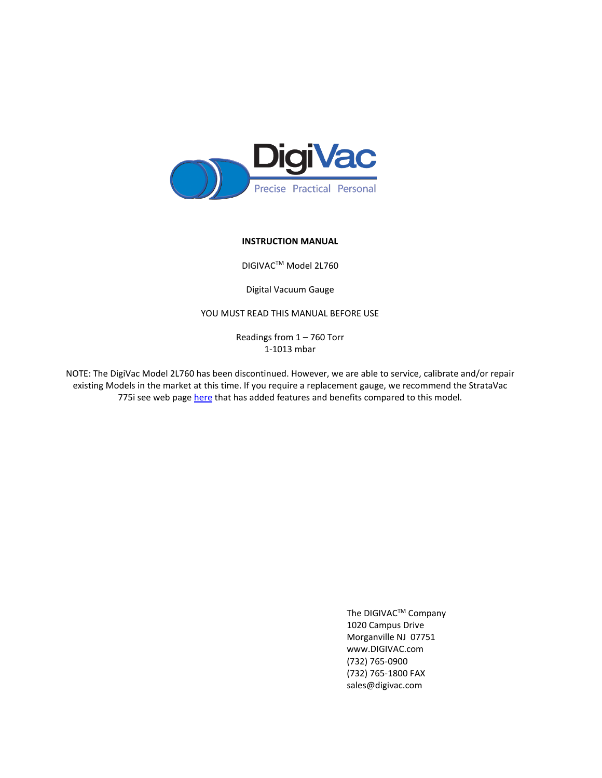

### **INSTRUCTION MANUAL**

DIGIVACTM Model 2L760

Digital Vacuum Gauge

# YOU MUST READ THIS MANUAL BEFORE USE

Readings from 1 – 760 Torr 1-1013 mbar

NOTE: The DigiVac Model 2L760 has been discontinued. However, we are able to service, calibrate and/or repair existing Models in the market at this time. If you require a replacement gauge, we recommend the StrataVac 775i see web pag[e here](https://www.digivac.com/product/stratavac-775i-industrial-vacuum-gauge-1-torr-to-atm/) that has added features and benefits compared to this model.

> The DIGIVAC™ Company 1020 Campus Drive Morganville NJ 07751 www.DIGIVAC.com (732) 765-0900 (732) 765-1800 FAX sales@digivac.com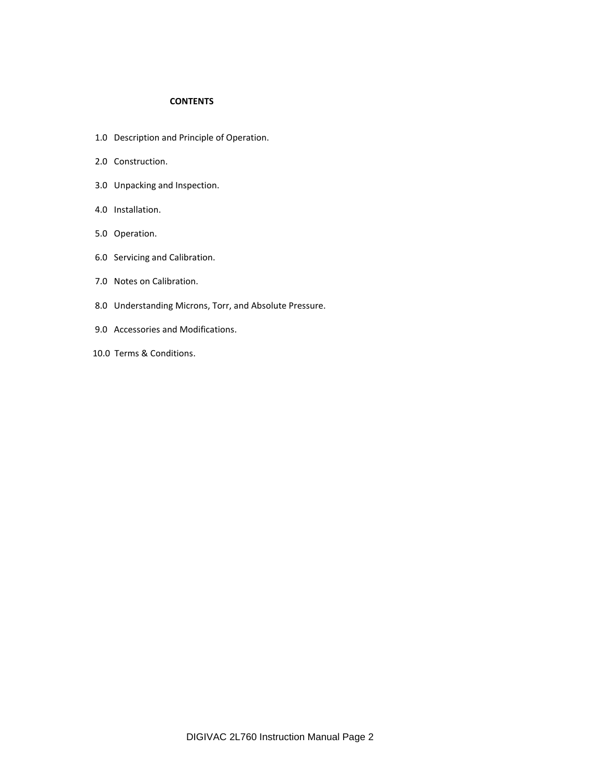### **CONTENTS**

- 1.0 Description and Principle of Operation.
- 2.0 Construction.
- 3.0 Unpacking and Inspection.
- 4.0 Installation.
- 5.0 Operation.
- 6.0 Servicing and Calibration.
- 7.0 Notes on Calibration.
- 8.0 Understanding Microns, Torr, and Absolute Pressure.
- 9.0 Accessories and Modifications.
- 10.0 Terms & Conditions.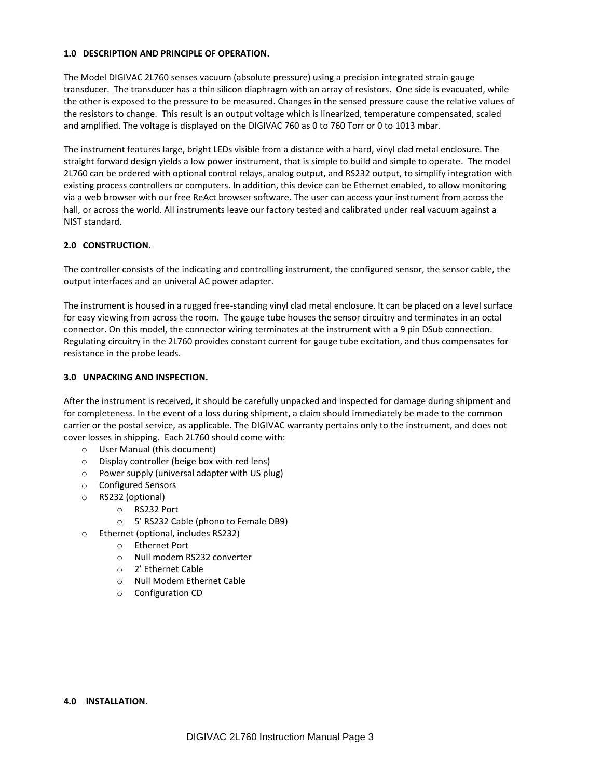### **1.0 DESCRIPTION AND PRINCIPLE OF OPERATION.**

The Model DIGIVAC 2L760 senses vacuum (absolute pressure) using a precision integrated strain gauge transducer. The transducer has a thin silicon diaphragm with an array of resistors. One side is evacuated, while the other is exposed to the pressure to be measured. Changes in the sensed pressure cause the relative values of the resistors to change. This result is an output voltage which is linearized, temperature compensated, scaled and amplified. The voltage is displayed on the DIGIVAC 760 as 0 to 760 Torr or 0 to 1013 mbar.

The instrument features large, bright LEDs visible from a distance with a hard, vinyl clad metal enclosure. The straight forward design yields a low power instrument, that is simple to build and simple to operate. The model 2L760 can be ordered with optional control relays, analog output, and RS232 output, to simplify integration with existing process controllers or computers. In addition, this device can be Ethernet enabled, to allow monitoring via a web browser with our free ReAct browser software. The user can access your instrument from across the hall, or across the world. All instruments leave our factory tested and calibrated under real vacuum against a NIST standard.

## **2.0 CONSTRUCTION.**

The controller consists of the indicating and controlling instrument, the configured sensor, the sensor cable, the output interfaces and an univeral AC power adapter.

The instrument is housed in a rugged free-standing vinyl clad metal enclosure. It can be placed on a level surface for easy viewing from across the room. The gauge tube houses the sensor circuitry and terminates in an octal connector. On this model, the connector wiring terminates at the instrument with a 9 pin DSub connection. Regulating circuitry in the 2L760 provides constant current for gauge tube excitation, and thus compensates for resistance in the probe leads.

## **3.0 UNPACKING AND INSPECTION.**

After the instrument is received, it should be carefully unpacked and inspected for damage during shipment and for completeness. In the event of a loss during shipment, a claim should immediately be made to the common carrier or the postal service, as applicable. The DIGIVAC warranty pertains only to the instrument, and does not cover losses in shipping. Each 2L760 should come with:

- o User Manual (this document)
- o Display controller (beige box with red lens)
- o Power supply (universal adapter with US plug)
- o Configured Sensors
- o RS232 (optional)
	- o RS232 Port
	- o 5' RS232 Cable (phono to Female DB9)
- o Ethernet (optional, includes RS232)
	- o Ethernet Port
	- o Null modem RS232 converter
	- o 2' Ethernet Cable
	- o Null Modem Ethernet Cable
	- o Configuration CD

#### **4.0 INSTALLATION.**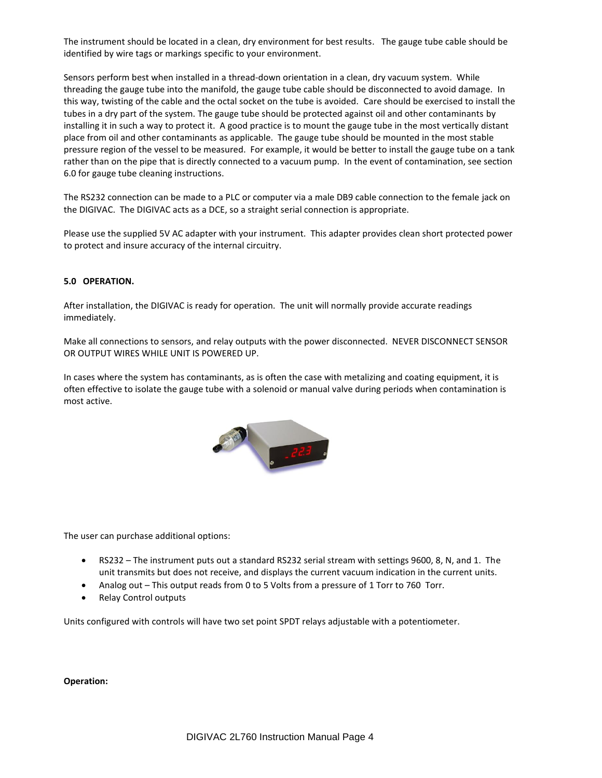The instrument should be located in a clean, dry environment for best results. The gauge tube cable should be identified by wire tags or markings specific to your environment.

Sensors perform best when installed in a thread-down orientation in a clean, dry vacuum system. While threading the gauge tube into the manifold, the gauge tube cable should be disconnected to avoid damage. In this way, twisting of the cable and the octal socket on the tube is avoided. Care should be exercised to install the tubes in a dry part of the system. The gauge tube should be protected against oil and other contaminants by installing it in such a way to protect it. A good practice is to mount the gauge tube in the most vertically distant place from oil and other contaminants as applicable. The gauge tube should be mounted in the most stable pressure region of the vessel to be measured. For example, it would be better to install the gauge tube on a tank rather than on the pipe that is directly connected to a vacuum pump. In the event of contamination, see section 6.0 for gauge tube cleaning instructions.

The RS232 connection can be made to a PLC or computer via a male DB9 cable connection to the female jack on the DIGIVAC. The DIGIVAC acts as a DCE, so a straight serial connection is appropriate.

Please use the supplied 5V AC adapter with your instrument. This adapter provides clean short protected power to protect and insure accuracy of the internal circuitry.

### **5.0 OPERATION.**

After installation, the DIGIVAC is ready for operation. The unit will normally provide accurate readings immediately.

Make all connections to sensors, and relay outputs with the power disconnected. NEVER DISCONNECT SENSOR OR OUTPUT WIRES WHILE UNIT IS POWERED UP.

In cases where the system has contaminants, as is often the case with metalizing and coating equipment, it is often effective to isolate the gauge tube with a solenoid or manual valve during periods when contamination is most active.



The user can purchase additional options:

- RS232 The instrument puts out a standard RS232 serial stream with settings 9600, 8, N, and 1. The unit transmits but does not receive, and displays the current vacuum indication in the current units.
- Analog out This output reads from 0 to 5 Volts from a pressure of 1 Torr to 760 Torr.
- Relay Control outputs

Units configured with controls will have two set point SPDT relays adjustable with a potentiometer.

### **Operation:**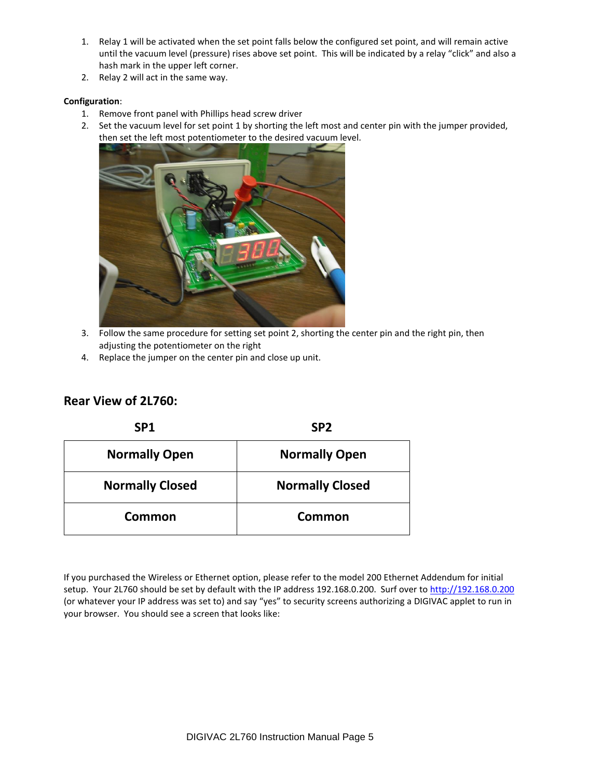- 1. Relay 1 will be activated when the set point falls below the configured set point, and will remain active until the vacuum level (pressure) rises above set point. This will be indicated by a relay "click" and also a hash mark in the upper left corner.
- 2. Relay 2 will act in the same way.

# **Configuration**:

- 1. Remove front panel with Phillips head screw driver
- 2. Set the vacuum level for set point 1 by shorting the left most and center pin with the jumper provided, then set the left most potentiometer to the desired vacuum level.



- 3. Follow the same procedure for setting set point 2, shorting the center pin and the right pin, then adjusting the potentiometer on the right
- 4. Replace the jumper on the center pin and close up unit.

# **Rear View of 2L760:**

| SP <sub>1</sub>        | SP <sub>2</sub>        |  |
|------------------------|------------------------|--|
| <b>Normally Open</b>   | <b>Normally Open</b>   |  |
| <b>Normally Closed</b> | <b>Normally Closed</b> |  |
| Common                 | Common                 |  |

If you purchased the Wireless or Ethernet option, please refer to the model 200 Ethernet Addendum for initial setup. Your 2L760 should be set by default with the IP address 192.168.0.200. Surf over t[o http://192.168.0.200](http://192.168.0.200/) (or whatever your IP address was set to) and say "yes" to security screens authorizing a DIGIVAC applet to run in your browser. You should see a screen that looks like: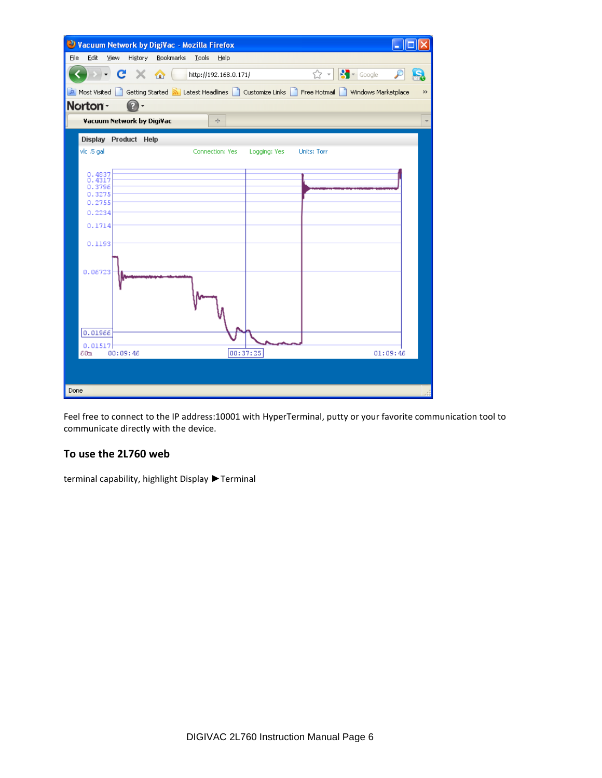| Vacuum Network by DigiVac - Mozilla Firefox                                                                                                                  |  |  |  |
|--------------------------------------------------------------------------------------------------------------------------------------------------------------|--|--|--|
| Eile<br>Edit<br>History Bookmarks Tools<br>View<br>Help                                                                                                      |  |  |  |
| $C \times \hat{C}$<br>$\frac{1}{2}$ T Google<br>☆ ~ <br>http://192.168.0.171/                                                                                |  |  |  |
| Getting Started <b>M</b> Latest Headlines   Customize Links   Free Hotmail     Windows Marketplace<br>Most Visited<br>$\rightarrow$                          |  |  |  |
| Norton -                                                                                                                                                     |  |  |  |
| <b>Vacuum Network by DigiVac</b><br>Ą.                                                                                                                       |  |  |  |
| Display Product Help                                                                                                                                         |  |  |  |
| vlc .5 gal<br>Connection: Yes<br>Logging: Yes<br>Units: Torr                                                                                                 |  |  |  |
| $0.4837$<br>$0.4317$<br>0.3796<br>0.3275<br>0.2755<br>0.2234<br>0.1714<br>0.1193<br>0.06723<br>0.01966<br>0.01517<br>00:37:25<br>00:09:46<br>01:09:46<br>60m |  |  |  |
| Done                                                                                                                                                         |  |  |  |
|                                                                                                                                                              |  |  |  |

Feel free to connect to the IP address:10001 with HyperTerminal, putty or your favorite communication tool to communicate directly with the device.

# **To use the 2L760 web**

terminal capability, highlight Display ▶Terminal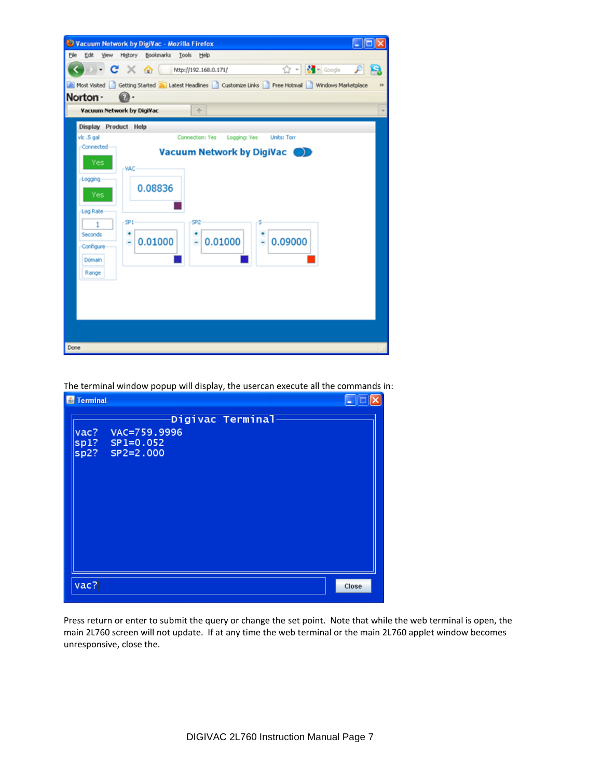| Vacuum Network by DigiVac - Mozilla Firefox<br>$ \blacksquare$ $\times$                                                                                           |
|-------------------------------------------------------------------------------------------------------------------------------------------------------------------|
| Eile<br>Edit<br>Higtory Bookmarks Tools Help<br>View                                                                                                              |
| $\bullet$ C $\times$ O   http://192.168.0.171/<br>$\gamma$ - $\frac{1}{2}$ - Google<br>щ                                                                          |
| Most Visited Getting Started and Latest Headlines Customize Links Correct Hotmail Customize Windows Marketplace<br>$32$                                           |
| Norton -                                                                                                                                                          |
| Vacuum Network by DigiVac<br>÷                                                                                                                                    |
| Display Product Help                                                                                                                                              |
| vic .5 gal<br>Connection: Yes<br>Logging: Yes<br><b>Units: Torr</b>                                                                                               |
| Connected<br><b>Vacuum Network by DigiVac</b><br>œ                                                                                                                |
| Yes<br>-VAC<br>Logging<br>0.08836<br>Yes:<br>Log Rate<br>SP1<br>SP2<br>1<br>Seconds<br>0.01000<br>$-0.09000$<br>0.01000<br>Ξ<br>Ξ<br>Configure<br>Domain<br>Range |
| Done                                                                                                                                                              |

The terminal window popup will display, the usercan execute all the commands in:

| <b>S</b> Terminal |                                                                         | $\Box$ |
|-------------------|-------------------------------------------------------------------------|--------|
| $\sqrt{vac?}$     | Digivac Terminal<br>VAC=759.9996<br>$ sp1?$ SP1=0.052<br>sp2? SP2=2.000 |        |
| $\sqrt{ac?}$      |                                                                         | Close  |

Press return or enter to submit the query or change the set point. Note that while the web terminal is open, the main 2L760 screen will not update. If at any time the web terminal or the main 2L760 applet window becomes unresponsive, close the.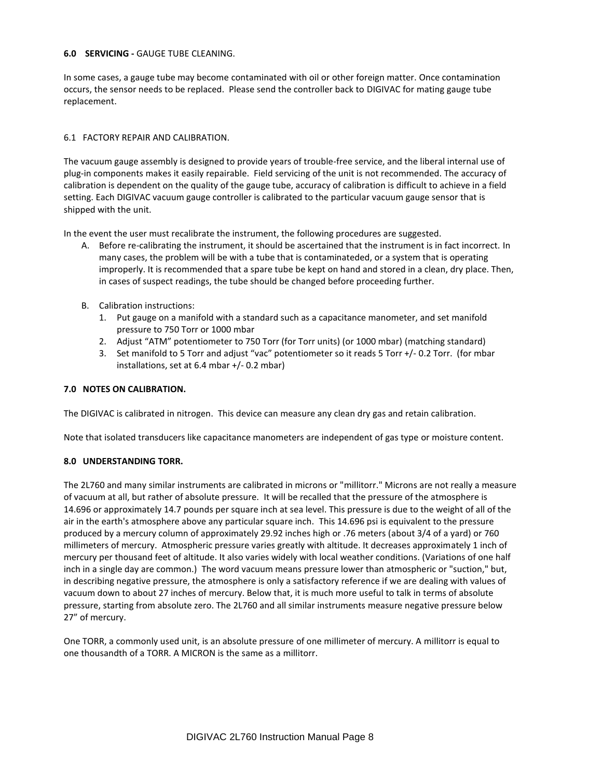### **6.0 SERVICING -** GAUGE TUBE CLEANING.

In some cases, a gauge tube may become contaminated with oil or other foreign matter. Once contamination occurs, the sensor needs to be replaced. Please send the controller back to DIGIVAC for mating gauge tube replacement.

## 6.1 FACTORY REPAIR AND CALIBRATION.

The vacuum gauge assembly is designed to provide years of trouble-free service, and the liberal internal use of plug-in components makes it easily repairable. Field servicing of the unit is not recommended. The accuracy of calibration is dependent on the quality of the gauge tube, accuracy of calibration is difficult to achieve in a field setting. Each DIGIVAC vacuum gauge controller is calibrated to the particular vacuum gauge sensor that is shipped with the unit.

In the event the user must recalibrate the instrument, the following procedures are suggested.

- A. Before re-calibrating the instrument, it should be ascertained that the instrument is in fact incorrect. In many cases, the problem will be with a tube that is contaminateded, or a system that is operating improperly. It is recommended that a spare tube be kept on hand and stored in a clean, dry place. Then, in cases of suspect readings, the tube should be changed before proceeding further.
- B. Calibration instructions:
	- 1. Put gauge on a manifold with a standard such as a capacitance manometer, and set manifold pressure to 750 Torr or 1000 mbar
	- 2. Adjust "ATM" potentiometer to 750 Torr (for Torr units) (or 1000 mbar) (matching standard)
	- 3. Set manifold to 5 Torr and adjust "vac" potentiometer so it reads 5 Torr +/- 0.2 Torr. (for mbar installations, set at 6.4 mbar +/- 0.2 mbar)

## **7.0 NOTES ON CALIBRATION.**

The DIGIVAC is calibrated in nitrogen. This device can measure any clean dry gas and retain calibration.

Note that isolated transducers like capacitance manometers are independent of gas type or moisture content.

### **8.0 UNDERSTANDING TORR.**

The 2L760 and many similar instruments are calibrated in microns or "millitorr." Microns are not really a measure of vacuum at all, but rather of absolute pressure. It will be recalled that the pressure of the atmosphere is 14.696 or approximately 14.7 pounds per square inch at sea level. This pressure is due to the weight of all of the air in the earth's atmosphere above any particular square inch. This 14.696 psi is equivalent to the pressure produced by a mercury column of approximately 29.92 inches high or .76 meters (about 3/4 of a yard) or 760 millimeters of mercury. Atmospheric pressure varies greatly with altitude. It decreases approximately 1 inch of mercury per thousand feet of altitude. It also varies widely with local weather conditions. (Variations of one half inch in a single day are common.) The word vacuum means pressure lower than atmospheric or "suction," but, in describing negative pressure, the atmosphere is only a satisfactory reference if we are dealing with values of vacuum down to about 27 inches of mercury. Below that, it is much more useful to talk in terms of absolute pressure, starting from absolute zero. The 2L760 and all similar instruments measure negative pressure below 27" of mercury.

One TORR, a commonly used unit, is an absolute pressure of one millimeter of mercury. A millitorr is equal to one thousandth of a TORR. A MICRON is the same as a millitorr.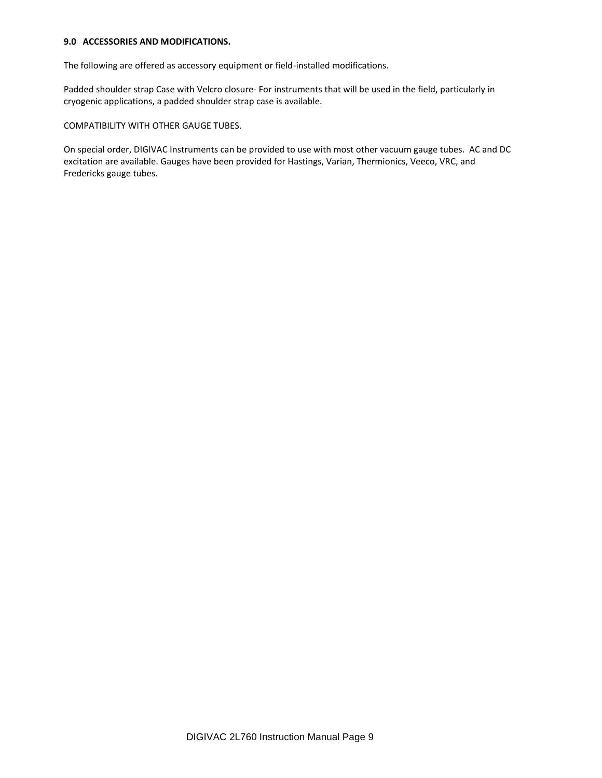## **9.0 ACCESSORIES AND MODIFICATIONS.**

The following are offered as accessory equipment or field-installed modifications.

Padded shoulder strap Case with Velcro closure- For instruments that will be used in the field, particularly in cryogenic applications, a padded shoulder strap case is available.

# COMPATIBILITY WITH OTHER GAUGE TUBES.

On special order, DIGIVAC Instruments can be provided to use with most other vacuum gauge tubes. AC and DC excitation are available. Gauges have been provided for Hastings, Varian, Thermionics, Veeco, VRC, and Fredericks gauge tubes.